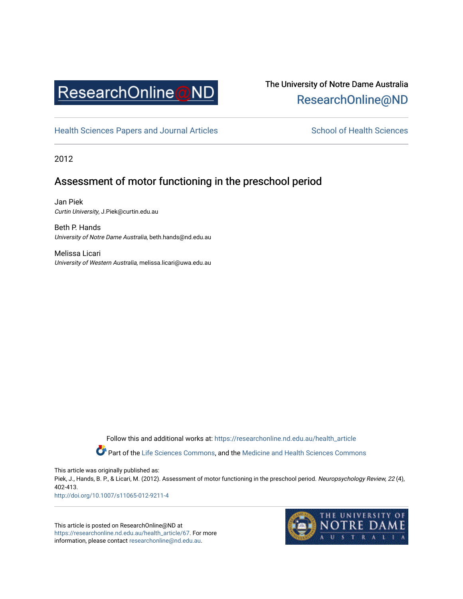

# The University of Notre Dame Australia [ResearchOnline@ND](https://researchonline.nd.edu.au/)

[Health Sciences Papers and Journal Articles](https://researchonline.nd.edu.au/health_article) School of Health Sciences

2012

## Assessment of motor functioning in the preschool period

Jan Piek Curtin University, J.Piek@curtin.edu.au

Beth P. Hands University of Notre Dame Australia, beth.hands@nd.edu.au

Melissa Licari University of Western Australia, melissa.licari@uwa.edu.au

> Follow this and additional works at: [https://researchonline.nd.edu.au/health\\_article](https://researchonline.nd.edu.au/health_article?utm_source=researchonline.nd.edu.au%2Fhealth_article%2F67&utm_medium=PDF&utm_campaign=PDFCoverPages) Part of the [Life Sciences Commons](http://network.bepress.com/hgg/discipline/1016?utm_source=researchonline.nd.edu.au%2Fhealth_article%2F67&utm_medium=PDF&utm_campaign=PDFCoverPages), and the Medicine and Health Sciences Commons

This article was originally published as:

Piek, J., Hands, B. P., & Licari, M. (2012). Assessment of motor functioning in the preschool period. Neuropsychology Review, 22 (4), 402-413.

<http://doi.org/10.1007/s11065-012-9211-4>

This article is posted on ResearchOnline@ND at [https://researchonline.nd.edu.au/health\\_article/67.](https://researchonline.nd.edu.au/health_article/67) For more information, please contact [researchonline@nd.edu.au.](mailto:researchonline@nd.edu.au)

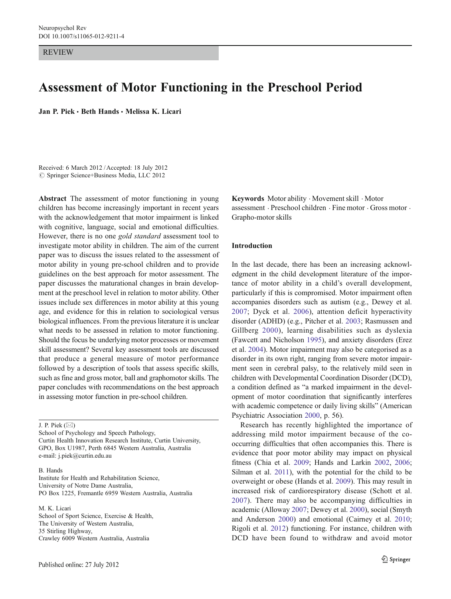**REVIEW** 

## Assessment of Motor Functioning in the Preschool Period

Jan P. Piek · Beth Hands · Melissa K. Licari

Received: 6 March 2012 /Accepted: 18 July 2012  $\oslash$  Springer Science+Business Media, LLC 2012

Abstract The assessment of motor functioning in young children has become increasingly important in recent years with the acknowledgement that motor impairment is linked with cognitive, language, social and emotional difficulties. However, there is no one gold standard assessment tool to investigate motor ability in children. The aim of the current paper was to discuss the issues related to the assessment of motor ability in young pre-school children and to provide guidelines on the best approach for motor assessment. The paper discusses the maturational changes in brain development at the preschool level in relation to motor ability. Other issues include sex differences in motor ability at this young age, and evidence for this in relation to sociological versus biological influences. From the previous literature it is unclear what needs to be assessed in relation to motor functioning. Should the focus be underlying motor processes or movement skill assessment? Several key assessment tools are discussed that produce a general measure of motor performance followed by a description of tools that assess specific skills, such as fine and gross motor, ball and graphomotor skills. The paper concludes with recommendations on the best approach in assessing motor function in pre-school children.

J. P. Piek  $(\boxtimes)$ 

School of Psychology and Speech Pathology, Curtin Health Innovation Research Institute, Curtin University, GPO, Box U1987, Perth 6845 Western Australia, Australia e-mail: j.piek@curtin.edu.au

B. Hands Institute for Health and Rehabilitation Science, University of Notre Dame Australia, PO Box 1225, Fremantle 6959 Western Australia, Australia

M. K. Licari School of Sport Science, Exercise & Health, The University of Western Australia, 35 Stirling Highway, Crawley 6009 Western Australia, Australia

Keywords Motor ability . Movement skill . Motor assessment . Preschool children . Fine motor . Gross motor . Grapho-motor skills

## Introduction

In the last decade, there has been an increasing acknowledgment in the child development literature of the importance of motor ability in a child's overall development, particularly if this is compromised. Motor impairment often accompanies disorders such as autism (e.g., Dewey et al. [2007;](#page-10-0) Dyck et al. [2006](#page-10-0)), attention deficit hyperactivity disorder (ADHD) (e.g., Pitcher et al. [2003;](#page-12-0) Rasmussen and Gillberg [2000\)](#page-12-0), learning disabilities such as dyslexia (Fawcett and Nicholson [1995](#page-10-0)), and anxiety disorders (Erez et al. [2004\)](#page-10-0). Motor impairment may also be categorised as a disorder in its own right, ranging from severe motor impairment seen in cerebral palsy, to the relatively mild seen in children with Developmental Coordination Disorder (DCD), a condition defined as "a marked impairment in the development of motor coordination that significantly interferes with academic competence or daily living skills" (American Psychiatric Association [2000,](#page-10-0) p. 56).

Research has recently highlighted the importance of addressing mild motor impairment because of the cooccurring difficulties that often accompanies this. There is evidence that poor motor ability may impact on physical fitness (Chia et al. [2009](#page-10-0); Hands and Larkin [2002,](#page-11-0) [2006;](#page-11-0) Silman et al. [2011](#page-12-0)), with the potential for the child to be overweight or obese (Hands et al. [2009](#page-11-0)). This may result in increased risk of cardiorespiratory disease (Schott et al. [2007\)](#page-12-0). There may also be accompanying difficulties in academic (Alloway [2007](#page-10-0); Dewey et al. [2000\)](#page-10-0), social (Smyth and Anderson [2000\)](#page-12-0) and emotional (Cairney et al. [2010;](#page-10-0) Rigoli et al. [2012\)](#page-12-0) functioning. For instance, children with DCD have been found to withdraw and avoid motor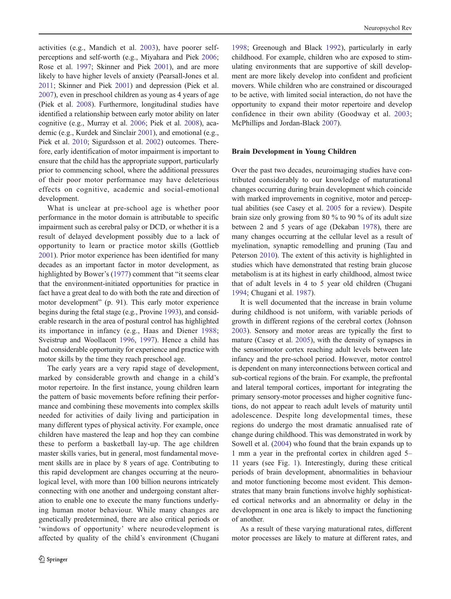activities (e.g., Mandich et al. [2003\)](#page-11-0), have poorer selfperceptions and self-worth (e.g., Miyahara and Piek [2006](#page-11-0); Rose et al. [1997;](#page-12-0) Skinner and Piek [2001\)](#page-12-0), and are more likely to have higher levels of anxiety (Pearsall-Jones et al. [2011;](#page-11-0) Skinner and Piek [2001\)](#page-12-0) and depression (Piek et al. [2007\)](#page-11-0), even in preschool children as young as 4 years of age (Piek et al. [2008\)](#page-11-0). Furthermore, longitudinal studies have identified a relationship between early motor ability on later cognitive (e.g., Murray et al. [2006](#page-11-0); Piek et al. [2008\)](#page-11-0), academic (e.g., Kurdek and Sinclair [2001](#page-11-0)), and emotional (e.g., Piek et al. [2010](#page-11-0); Sigurdsson et al. [2002](#page-12-0)) outcomes. Therefore, early identification of motor impairment is important to ensure that the child has the appropriate support, particularly prior to commencing school, where the additional pressures of their poor motor performance may have deleterious effects on cognitive, academic and social-emotional development.

What is unclear at pre-school age is whether poor performance in the motor domain is attributable to specific impairment such as cerebral palsy or DCD, or whether it is a result of delayed development possibly due to a lack of opportunity to learn or practice motor skills (Gottlieb [2001\)](#page-11-0). Prior motor experience has been identified for many decades as an important factor in motor development, as highlighted by Bower's ([1977\)](#page-10-0) comment that "it seems clear that the environment-initiated opportunities for practice in fact have a great deal to do with both the rate and direction of motor development" (p. 91). This early motor experience begins during the fetal stage (e.g., Provine [1993](#page-12-0)), and considerable research in the area of postural control has highlighted its importance in infancy (e.g., Haas and Diener [1988](#page-11-0); Sveistrup and Woollacott [1996,](#page-12-0) [1997](#page-12-0)). Hence a child has had considerable opportunity for experience and practice with motor skills by the time they reach preschool age.

The early years are a very rapid stage of development, marked by considerable growth and change in a child's motor repertoire. In the first instance, young children learn the pattern of basic movements before refining their performance and combining these movements into complex skills needed for activities of daily living and participation in many different types of physical activity. For example, once children have mastered the leap and hop they can combine these to perform a basketball lay-up. The age children master skills varies, but in general, most fundamental movement skills are in place by 8 years of age. Contributing to this rapid development are changes occurring at the neurological level, with more than 100 billion neurons intricately connecting with one another and undergoing constant alteration to enable one to execute the many functions underlying human motor behaviour. While many changes are genetically predetermined, there are also critical periods or 'windows of opportunity' where neurodevelopment is affected by quality of the child's environment (Chugani

[1998](#page-10-0); Greenough and Black [1992\)](#page-11-0), particularly in early childhood. For example, children who are exposed to stimulating environments that are supportive of skill development are more likely develop into confident and proficient movers. While children who are constrained or discouraged to be active, with limited social interaction, do not have the opportunity to expand their motor repertoire and develop confidence in their own ability (Goodway et al. [2003;](#page-11-0) McPhillips and Jordan-Black [2007](#page-11-0)).

## Brain Development in Young Children

Over the past two decades, neuroimaging studies have contributed considerably to our knowledge of maturational changes occurring during brain development which coincide with marked improvements in cognitive, motor and perceptual abilities (see Casey et al. [2005](#page-10-0) for a review). Despite brain size only growing from 80 % to 90 % of its adult size between 2 and 5 years of age (Dekaban [1978](#page-10-0)), there are many changes occurring at the cellular level as a result of myelination, synaptic remodelling and pruning (Tau and Peterson [2010](#page-12-0)). The extent of this activity is highlighted in studies which have demonstrated that resting brain glucose metabolism is at its highest in early childhood, almost twice that of adult levels in 4 to 5 year old children (Chugani [1994](#page-10-0); Chugani et al. [1987](#page-10-0)).

It is well documented that the increase in brain volume during childhood is not uniform, with variable periods of growth in different regions of the cerebral cortex (Johnson [2003](#page-11-0)). Sensory and motor areas are typically the first to mature (Casey et al. [2005](#page-10-0)), with the density of synapses in the sensorimotor cortex reaching adult levels between late infancy and the pre-school period. However, motor control is dependent on many interconnections between cortical and sub-cortical regions of the brain. For example, the prefrontal and lateral temporal cortices, important for integrating the primary sensory-motor processes and higher cognitive functions, do not appear to reach adult levels of maturity until adolescence. Despite long developmental times, these regions do undergo the most dramatic annualised rate of change during childhood. This was demonstrated in work by Sowell et al. ([2004\)](#page-12-0) who found that the brain expands up to 1 mm a year in the prefrontal cortex in children aged 5– 11 years (see Fig. [1\)](#page-3-0). Interestingly, during these critical periods of brain development, abnormalities in behaviour and motor functioning become most evident. This demonstrates that many brain functions involve highly sophisticated cortical networks and an abnormality or delay in the development in one area is likely to impact the functioning of another.

As a result of these varying maturational rates, different motor processes are likely to mature at different rates, and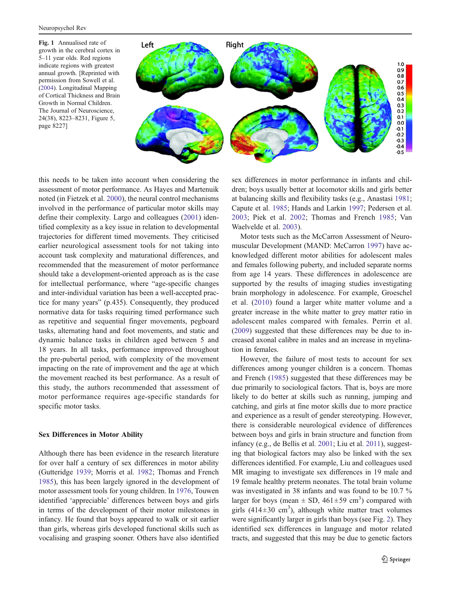<span id="page-3-0"></span>Fig. 1 Annualised rate of growth in the cerebral cortex in 5–11 year olds. Red regions indicate regions with greatest annual growth. [Reprinted with permission from Sowell et al. ([2004\)](#page-12-0). Longitudinal Mapping of Cortical Thickness and Brain Growth in Normal Children. The Journal of Neuroscience, 24(38), 8223–8231, Figure 5, page 8227]



this needs to be taken into account when considering the assessment of motor performance. As Hayes and Martenuik noted (in Fietzek et al. [2000\)](#page-10-0), the neural control mechanisms involved in the performance of particular motor skills may define their complexity. Largo and colleagues [\(2001](#page-11-0)) identified complexity as a key issue in relation to developmental trajectories for different timed movements. They criticised earlier neurological assessment tools for not taking into account task complexity and maturational differences, and recommended that the measurement of motor performance should take a development-oriented approach as is the case for intellectual performance, where "age-specific changes and inter-individual variation has been a well-accepted practice for many years" (p.435). Consequently, they produced normative data for tasks requiring timed performance such as repetitive and sequential finger movements, pegboard tasks, alternating hand and foot movements, and static and dynamic balance tasks in children aged between 5 and 18 years. In all tasks, performance improved throughout the pre-pubertal period, with complexity of the movement impacting on the rate of improvement and the age at which the movement reached its best performance. As a result of this study, the authors recommended that assessment of motor performance requires age-specific standards for specific motor tasks.

#### Sex Differences in Motor Ability

Although there has been evidence in the research literature for over half a century of sex differences in motor ability (Gutteridge [1939](#page-11-0); Morris et al. [1982](#page-11-0); Thomas and French [1985\)](#page-12-0), this has been largely ignored in the development of motor assessment tools for young children. In [1976,](#page-12-0) Touwen identified 'appreciable' differences between boys and girls in terms of the development of their motor milestones in infancy. He found that boys appeared to walk or sit earlier than girls, whereas girls developed functional skills such as vocalising and grasping sooner. Others have also identified

sex differences in motor performance in infants and children; boys usually better at locomotor skills and girls better at balancing skills and flexibility tasks (e.g., Anastasi [1981;](#page-10-0) Capute et al. [1985;](#page-10-0) Hands and Larkin [1997](#page-11-0); Pedersen et al. [2003;](#page-11-0) Piek et al. [2002;](#page-11-0) Thomas and French [1985](#page-12-0); Van Waelvelde et al. [2003](#page-12-0)).

Motor tests such as the McCarron Assessment of Neuromuscular Development (MAND: McCarron [1997](#page-11-0)) have acknowledged different motor abilities for adolescent males and females following puberty, and included separate norms from age 14 years. These differences in adolescence are supported by the results of imaging studies investigating brain morphology in adolescence. For example, Groeschel et al. ([2010\)](#page-11-0) found a larger white matter volume and a greater increase in the white matter to grey matter ratio in adolescent males compared with females. Perrin et al. [\(2009](#page-11-0)) suggested that these differences may be due to increased axonal calibre in males and an increase in myelination in females.

However, the failure of most tests to account for sex differences among younger children is a concern. Thomas and French ([1985\)](#page-12-0) suggested that these differences may be due primarily to sociological factors. That is, boys are more likely to do better at skills such as running, jumping and catching, and girls at fine motor skills due to more practice and experience as a result of gender stereotyping. However, there is considerable neurological evidence of differences between boys and girls in brain structure and function from infancy (e.g., de Bellis et al. [2001](#page-10-0); Liu et al. [2011](#page-11-0)), suggesting that biological factors may also be linked with the sex differences identified. For example, Liu and colleagues used MR imaging to investigate sex differences in 19 male and 19 female healthy preterm neonates. The total brain volume was investigated in 38 infants and was found to be 10.7 % larger for boys (mean  $\pm$  SD, 461 $\pm$ 59 cm<sup>3</sup>) compared with girls (414 $\pm$ 30 cm<sup>3</sup>), although white matter tract volumes were significantly larger in girls than boys (see Fig. [2\)](#page-4-0). They identified sex differences in language and motor related tracts, and suggested that this may be due to genetic factors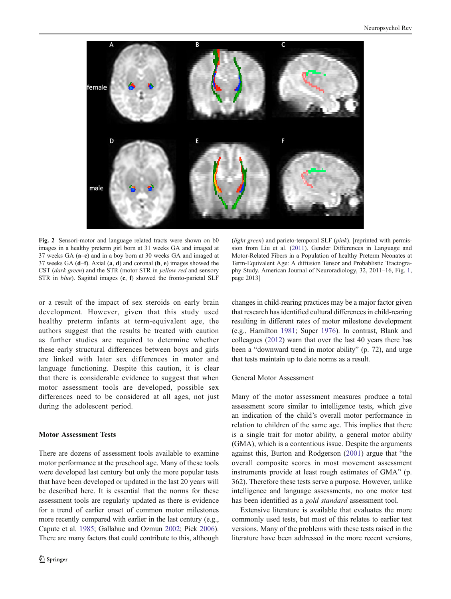<span id="page-4-0"></span>

Fig. 2 Sensori-motor and language related tracts were shown on b0 images in a healthy preterm girl born at 31 weeks GA and imaged at 37 weeks GA (a–c) and in a boy born at 30 weeks GA and imaged at 37 weeks GA  $(d-f)$ . Axial  $(a, d)$  and coronal  $(b, e)$  images showed the CST (dark green) and the STR (motor STR in yellow-red and sensory STR in *blue*). Sagittal images (c, f) showed the fronto-parietal SLF

or a result of the impact of sex steroids on early brain development. However, given that this study used healthy preterm infants at term-equivalent age, the authors suggest that the results be treated with caution as further studies are required to determine whether these early structural differences between boys and girls are linked with later sex differences in motor and language functioning. Despite this caution, it is clear that there is considerable evidence to suggest that when motor assessment tools are developed, possible sex differences need to be considered at all ages, not just during the adolescent period.

## Motor Assessment Tests

There are dozens of assessment tools available to examine motor performance at the preschool age. Many of these tools were developed last century but only the more popular tests that have been developed or updated in the last 20 years will be described here. It is essential that the norms for these assessment tools are regularly updated as there is evidence for a trend of earlier onset of common motor milestones more recently compared with earlier in the last century (e.g., Capute et al. [1985](#page-10-0); Gallahue and Ozmun [2002](#page-10-0); Piek [2006\)](#page-11-0). There are many factors that could contribute to this, although

(light green) and parieto-temporal SLF ( $pink$ ). [reprinted with permission from Liu et al. [\(2011](#page-11-0)). Gender Differences in Language and Motor-Related Fibers in a Population of healthy Preterm Neonates at Term-Equivalent Age: A diffusion Tensor and Probablistic Tractography Study. American Journal of Neuroradiology, 32, 2011–16, Fig. [1](#page-3-0), page 2013]

changes in child-rearing practices may be a major factor given that research has identified cultural differences in child-rearing resulting in different rates of motor milestone development (e.g., Hamilton [1981](#page-11-0); Super [1976\)](#page-12-0). In contrast, Blank and colleagues [\(2012\)](#page-10-0) warn that over the last 40 years there has been a "downward trend in motor ability" (p. 72), and urge that tests maintain up to date norms as a result.

## General Motor Assessment

Many of the motor assessment measures produce a total assessment score similar to intelligence tests, which give an indication of the child's overall motor performance in relation to children of the same age. This implies that there is a single trait for motor ability, a general motor ability (GMA), which is a contentious issue. Despite the arguments against this, Burton and Rodgerson [\(2001](#page-10-0)) argue that "the overall composite scores in most movement assessment instruments provide at least rough estimates of GMA" (p. 362). Therefore these tests serve a purpose. However, unlike intelligence and language assessments, no one motor test has been identified as a gold standard assessment tool.

Extensive literature is available that evaluates the more commonly used tests, but most of this relates to earlier test versions. Many of the problems with these tests raised in the literature have been addressed in the more recent versions,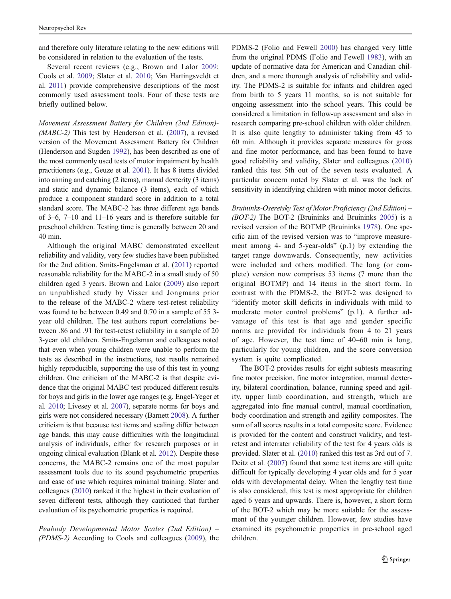and therefore only literature relating to the new editions will be considered in relation to the evaluation of the tests.

Several recent reviews (e.g., Brown and Lalor [2009](#page-10-0); Cools et al. [2009;](#page-10-0) Slater et al. [2010;](#page-12-0) Van Hartingsveldt et al. [2011](#page-12-0)) provide comprehensive descriptions of the most commonly used assessment tools. Four of these tests are briefly outlined below.

Movement Assessment Battery for Children (2nd Edition)-  $(MABC-2)$  This test by Henderson et al. [\(2007](#page-11-0)), a revised version of the Movement Assessment Battery for Children (Henderson and Sugden [1992\)](#page-11-0), has been described as one of the most commonly used tests of motor impairment by health practitioners (e.g., Geuze et al. [2001\)](#page-11-0). It has 8 items divided into aiming and catching (2 items), manual dexterity (3 items) and static and dynamic balance (3 items), each of which produce a component standard score in addition to a total standard score. The MABC-2 has three different age bands of 3–6, 7–10 and 11–16 years and is therefore suitable for preschool children. Testing time is generally between 20 and 40 min.

Although the original MABC demonstrated excellent reliability and validity, very few studies have been published for the 2nd edition. Smits-Engelsman et al. [\(2011](#page-12-0)) reported reasonable reliability for the MABC-2 in a small study of 50 children aged 3 years. Brown and Lalor ([2009\)](#page-10-0) also report an unpublished study by Visser and Jongmans prior to the release of the MABC-2 where test-retest reliability was found to be between 0.49 and 0.70 in a sample of 55 3 year old children. The test authors report correlations between .86 and .91 for test-retest reliability in a sample of 20 3-year old children. Smits-Engelsman and colleagues noted that even when young children were unable to perform the tests as described in the instructions, test results remained highly reproducible, supporting the use of this test in young children. One criticism of the MABC-2 is that despite evidence that the original MABC test produced different results for boys and girls in the lower age ranges (e.g. Engel-Yeger et al. [2010](#page-10-0); Livesey et al. [2007\)](#page-11-0), separate norms for boys and girls were not considered necessary (Barnett [2008](#page-10-0)). A further criticism is that because test items and scaling differ between age bands, this may cause difficulties with the longitudinal analysis of individuals, either for research purposes or in ongoing clinical evaluation (Blank et al. [2012](#page-10-0)). Despite these concerns, the MABC-2 remains one of the most popular assessment tools due to its sound psychometric properties and ease of use which requires minimal training. Slater and colleagues ([2010](#page-12-0)) ranked it the highest in their evaluation of seven different tests, although they cautioned that further evaluation of its psychometric properties is required.

Peabody Developmental Motor Scales (2nd Edition) – (PDMS-2) According to Cools and colleagues ([2009](#page-10-0)), the

PDMS-2 (Folio and Fewell [2000\)](#page-10-0) has changed very little from the original PDMS (Folio and Fewell [1983\)](#page-10-0), with an update of normative data for American and Canadian children, and a more thorough analysis of reliability and validity. The PDMS-2 is suitable for infants and children aged from birth to 5 years 11 months, so is not suitable for ongoing assessment into the school years. This could be considered a limitation in follow-up assessment and also in research comparing pre-school children with older children. It is also quite lengthy to administer taking from 45 to 60 min. Although it provides separate measures for gross and fine motor performance, and has been found to have good reliability and validity, Slater and colleagues [\(2010](#page-12-0)) ranked this test 5th out of the seven tests evaluated. A particular concern noted by Slater et al. was the lack of sensitivity in identifying children with minor motor deficits.

Bruininks-Oseretsky Test of Motor Proficiency (2nd Edition) – (BOT-2) The BOT-2 (Bruininks and Bruininks [2005\)](#page-10-0) is a revised version of the BOTMP (Bruininks [1978](#page-10-0)). One specific aim of the revised version was to "improve measurement among 4- and 5-year-olds" (p.1) by extending the target range downwards. Consequently, new activities were included and others modified. The long (or complete) version now comprises 53 items (7 more than the original BOTMP) and 14 items in the short form. In contrast with the PDMS-2, the BOT-2 was designed to "identify motor skill deficits in individuals with mild to moderate motor control problems" (p.1). A further advantage of this test is that age and gender specific norms are provided for individuals from 4 to 21 years of age. However, the test time of 40–60 min is long, particularly for young children, and the score conversion system is quite complicated.

The BOT-2 provides results for eight subtests measuring fine motor precision, fine motor integration, manual dexterity, bilateral coordination, balance, running speed and agility, upper limb coordination, and strength, which are aggregated into fine manual control, manual coordination, body coordination and strength and agility composites. The sum of all scores results in a total composite score. Evidence is provided for the content and construct validity, and testretest and interrater reliability of the test for 4 years olds is provided. Slater et al. ([2010\)](#page-12-0) ranked this test as 3rd out of 7. Deitz et al. [\(2007](#page-10-0)) found that some test items are still quite difficult for typically developing 4 year olds and for 5 year olds with developmental delay. When the lengthy test time is also considered, this test is most appropriate for children aged 6 years and upwards. There is, however, a short form of the BOT-2 which may be more suitable for the assessment of the younger children. However, few studies have examined its psychometric properties in pre-school aged children.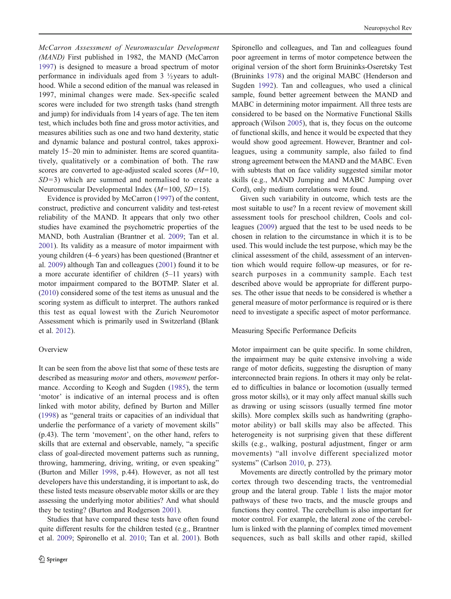McCarron Assessment of Neuromuscular Development (MAND) First published in 1982, the MAND (McCarron [1997\)](#page-11-0) is designed to measure a broad spectrum of motor performance in individuals aged from 3 ½years to adulthood. While a second edition of the manual was released in 1997, minimal changes were made. Sex-specific scaled scores were included for two strength tasks (hand strength and jump) for individuals from 14 years of age. The ten item test, which includes both fine and gross motor activities, and measures abilities such as one and two hand dexterity, static and dynamic balance and postural control, takes approximately 15–20 min to administer. Items are scored quantitatively, qualitatively or a combination of both. The raw scores are converted to age-adjusted scaled scores  $(M=10, 10)$  $SD=3$ ) which are summed and normalised to create a Neuromuscular Developmental Index  $(M=100, SD=15)$ .

Evidence is provided by McCarron ([1997\)](#page-11-0) of the content, construct, predictive and concurrent validity and test-retest reliability of the MAND. It appears that only two other studies have examined the psychometric properties of the MAND, both Australian (Brantner et al. [2009](#page-10-0); Tan et al. [2001\)](#page-12-0). Its validity as a measure of motor impairment with young children (4–6 years) has been questioned (Brantner et al. [2009](#page-10-0)) although Tan and colleagues [\(2001](#page-12-0)) found it to be a more accurate identifier of children (5–11 years) with motor impairment compared to the BOTMP. Slater et al. [\(2010](#page-12-0)) considered some of the test items as unusual and the scoring system as difficult to interpret. The authors ranked this test as equal lowest with the Zurich Neuromotor Assessment which is primarily used in Switzerland (Blank et al. [2012\)](#page-10-0).

## **Overview**

It can be seen from the above list that some of these tests are described as measuring motor and others, movement performance. According to Keogh and Sugden ([1985\)](#page-11-0), the term 'motor' is indicative of an internal process and is often linked with motor ability, defined by Burton and Miller [\(1998](#page-10-0)) as "general traits or capacities of an individual that underlie the performance of a variety of movement skills" (p.43). The term 'movement', on the other hand, refers to skills that are external and observable, namely, "a specific class of goal-directed movement patterns such as running, throwing, hammering, driving, writing, or even speaking" (Burton and Miller [1998,](#page-10-0) p.44). However, as not all test developers have this understanding, it is important to ask, do these listed tests measure observable motor skills or are they assessing the underlying motor abilities? And what should they be testing? (Burton and Rodgerson [2001](#page-10-0)).

Studies that have compared these tests have often found quite different results for the children tested (e.g., Brantner et al. [2009](#page-10-0); Spironello et al. [2010;](#page-12-0) Tan et al. [2001](#page-12-0)). Both Spironello and colleagues, and Tan and colleagues found poor agreement in terms of motor competence between the original version of the short form Bruininks-Oseretsky Test (Bruininks [1978](#page-10-0)) and the original MABC (Henderson and Sugden [1992](#page-11-0)). Tan and colleagues, who used a clinical sample, found better agreement between the MAND and MABC in determining motor impairment. All three tests are considered to be based on the Normative Functional Skills approach (Wilson [2005\)](#page-12-0), that is, they focus on the outcome of functional skills, and hence it would be expected that they would show good agreement. However, Brantner and colleagues, using a community sample, also failed to find strong agreement between the MAND and the MABC. Even with subtests that on face validity suggested similar motor skills (e.g., MAND Jumping and MABC Jumping over Cord), only medium correlations were found.

Given such variability in outcome, which tests are the most suitable to use? In a recent review of movement skill assessment tools for preschool children, Cools and colleagues ([2009\)](#page-10-0) argued that the test to be used needs to be chosen in relation to the circumstance in which it is to be used. This would include the test purpose, which may be the clinical assessment of the child, assessment of an intervention which would require follow-up measures, or for research purposes in a community sample. Each test described above would be appropriate for different purposes. The other issue that needs to be considered is whether a general measure of motor performance is required or is there need to investigate a specific aspect of motor performance.

#### Measuring Specific Performance Deficits

Motor impairment can be quite specific. In some children, the impairment may be quite extensive involving a wide range of motor deficits, suggesting the disruption of many interconnected brain regions. In others it may only be related to difficulties in balance or locomotion (usually termed gross motor skills), or it may only affect manual skills such as drawing or using scissors (usually termed fine motor skills). More complex skills such as handwriting (graphomotor ability) or ball skills may also be affected. This heterogeneity is not surprising given that these different skills (e.g., walking, postural adjustment, finger or arm movements) "all involve different specialized motor systems" (Carlson [2010,](#page-10-0) p. 273).

Movements are directly controlled by the primary motor cortex through two descending tracts, the ventromedial group and the lateral group. Table [1](#page-7-0) lists the major motor pathways of these two tracts, and the muscle groups and functions they control. The cerebellum is also important for motor control. For example, the lateral zone of the cerebellum is linked with the planning of complex timed movement sequences, such as ball skills and other rapid, skilled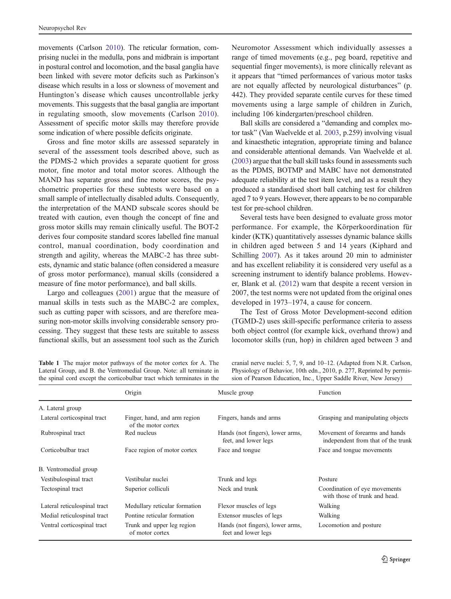<span id="page-7-0"></span>movements (Carlson [2010](#page-10-0)). The reticular formation, comprising nuclei in the medulla, pons and midbrain is important in postural control and locomotion, and the basal ganglia have been linked with severe motor deficits such as Parkinson's disease which results in a loss or slowness of movement and Huntington's disease which causes uncontrollable jerky movements. This suggests that the basal ganglia are important in regulating smooth, slow movements (Carlson [2010](#page-10-0)). Assessment of specific motor skills may therefore provide some indication of where possible deficits originate.

Gross and fine motor skills are assessed separately in several of the assessment tools described above, such as the PDMS-2 which provides a separate quotient for gross motor, fine motor and total motor scores. Although the MAND has separate gross and fine motor scores, the psychometric properties for these subtests were based on a small sample of intellectually disabled adults. Consequently, the interpretation of the MAND subscale scores should be treated with caution, even though the concept of fine and gross motor skills may remain clinically useful. The BOT-2 derives four composite standard scores labelled fine manual control, manual coordination, body coordination and strength and agility, whereas the MABC-2 has three subtests, dynamic and static balance (often considered a measure of gross motor performance), manual skills (considered a measure of fine motor performance), and ball skills.

Largo and colleagues ([2001\)](#page-11-0) argue that the measure of manual skills in tests such as the MABC-2 are complex, such as cutting paper with scissors, and are therefore measuring non-motor skills involving considerable sensory processing. They suggest that these tests are suitable to assess functional skills, but an assessment tool such as the Zurich

Neuromotor Assessment which individually assesses a range of timed movements (e.g., peg board, repetitive and sequential finger movements), is more clinically relevant as it appears that "timed performances of various motor tasks are not equally affected by neurological disturbances" (p. 442). They provided separate centile curves for these timed movements using a large sample of children in Zurich, including 106 kindergarten/preschool children.

Ball skills are considered a "demanding and complex motor task" (Van Waelvelde et al. [2003](#page-12-0), p.259) involving visual and kinaesthetic integration, appropriate timing and balance and considerable attentional demands. Van Waelvelde et al. [\(2003\)](#page-12-0) argue that the ball skill tasks found in assessments such as the PDMS, BOTMP and MABC have not demonstrated adequate reliability at the test item level, and as a result they produced a standardised short ball catching test for children aged 7 to 9 years. However, there appears to be no comparable test for pre-school children.

Several tests have been designed to evaluate gross motor performance. For example, the Körperkoordination für kinder (KTK) quantitatively assesses dynamic balance skills in children aged between 5 and 14 years (Kiphard and Schilling [2007\)](#page-11-0). As it takes around 20 min to administer and has excellent reliability it is considered very useful as a screening instrument to identify balance problems. However, Blank et al. ([2012\)](#page-10-0) warn that despite a recent version in 2007, the test norms were not updated from the original ones developed in 1973–1974, a cause for concern.

The Test of Gross Motor Development-second edition (TGMD-2) uses skill-specific performance criteria to assess both object control (for example kick, overhand throw) and locomotor skills (run, hop) in children aged between 3 and

| <b>Table 1</b> The major motor pathways of the motor cortex for A. The |
|------------------------------------------------------------------------|
| Lateral Group, and B, the Ventromedial Group. Note: all terminate in   |
| the spinal cord except the corticobulbar tract which terminates in the |

cranial nerve nuclei: 5, 7, 9, and 10–12. (Adapted from N.R. Carlson, Physiology of Behavior, 10th edn., 2010, p. 277, Reprinted by permission of Pearson Education, Inc., Upper Saddle River, New Jersey)

|                              | Origin                                              | Muscle group                                             | Function                                                             |
|------------------------------|-----------------------------------------------------|----------------------------------------------------------|----------------------------------------------------------------------|
| A. Lateral group             |                                                     |                                                          |                                                                      |
| Lateral corticospinal tract  | Finger, hand, and arm region<br>of the motor cortex | Fingers, hands and arms                                  | Grasping and manipulating objects                                    |
| Rubrospinal tract            | Red nucleus                                         | Hands (not fingers), lower arms,<br>feet, and lower legs | Movement of forearms and hands<br>independent from that of the trunk |
| Corticobulbar tract          | Face region of motor cortex                         | Face and tongue                                          | Face and tongue movements                                            |
| B. Ventromedial group        |                                                     |                                                          |                                                                      |
| Vestibulospinal tract        | Vestibular nuclei                                   | Trunk and legs                                           | Posture                                                              |
| Tectospinal tract            | Superior colliculi                                  | Neck and trunk                                           | Coordination of eye movements<br>with those of trunk and head.       |
| Lateral reticulospinal tract | Medullary reticular formation                       | Flexor muscles of legs                                   | Walking                                                              |
| Medial reticulospinal tract  | Pontine reticular formation                         | Extensor muscles of legs                                 | Walking                                                              |
| Ventral corticospinal tract  | Trunk and upper leg region<br>of motor cortex       | Hands (not fingers), lower arms,<br>feet and lower legs  | Locomotion and posture                                               |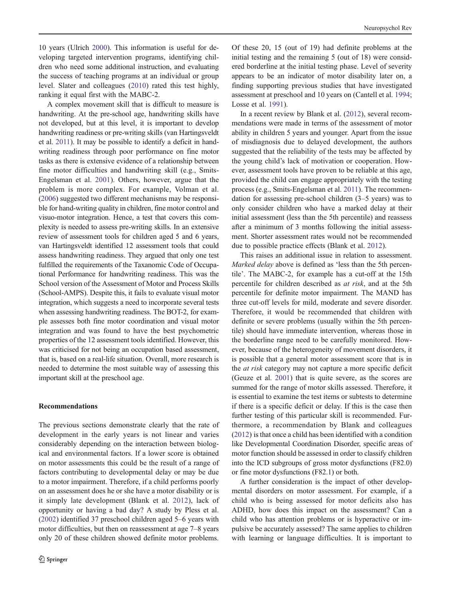10 years (Ulrich [2000\)](#page-12-0). This information is useful for developing targeted intervention programs, identifying children who need some additional instruction, and evaluating the success of teaching programs at an individual or group level. Slater and colleagues ([2010\)](#page-12-0) rated this test highly, ranking it equal first with the MABC-2.

A complex movement skill that is difficult to measure is handwriting. At the pre-school age, handwriting skills have not developed, but at this level, it is important to develop handwriting readiness or pre-writing skills (van Hartingsveldt et al. [2011\)](#page-12-0). It may be possible to identify a deficit in handwriting readiness through poor performance on fine motor tasks as there is extensive evidence of a relationship between fine motor difficulties and handwriting skill (e.g., Smits-Engelsman et al. [2001\)](#page-12-0). Others, however, argue that the problem is more complex. For example, Volman et al. [\(2006\)](#page-12-0) suggested two different mechanisms may be responsible for hand-writing quality in children, fine motor control and visuo-motor integration. Hence, a test that covers this complexity is needed to assess pre-writing skills. In an extensive review of assessment tools for children aged 5 and 6 years, van Hartingsveldt identified 12 assessment tools that could assess handwriting readiness. They argued that only one test fulfilled the requirements of the Taxanomic Code of Occupational Performance for handwriting readiness. This was the School version of the Assessment of Motor and Process Skills (School-AMPS). Despite this, it fails to evaluate visual motor integration, which suggests a need to incorporate several tests when assessing handwriting readiness. The BOT-2, for example assesses both fine motor coordination and visual motor integration and was found to have the best psychometric properties of the 12 assessment tools identified. However, this was criticised for not being an occupation based assessment, that is, based on a real-life situation. Overall, more research is needed to determine the most suitable way of assessing this important skill at the preschool age.

## Recommendations

The previous sections demonstrate clearly that the rate of development in the early years is not linear and varies considerably depending on the interaction between biological and environmental factors. If a lower score is obtained on motor assessments this could be the result of a range of factors contributing to developmental delay or may be due to a motor impairment. Therefore, if a child performs poorly on an assessment does he or she have a motor disability or is it simply late development (Blank et al. [2012\)](#page-10-0), lack of opportunity or having a bad day? A study by Pless et al. [\(2002](#page-12-0)) identified 37 preschool children aged 5–6 years with motor difficulties, but then on reassessment at age 7–8 years only 20 of these children showed definite motor problems.

Of these 20, 15 (out of 19) had definite problems at the initial testing and the remaining 5 (out of 18) were considered borderline at the initial testing phase. Level of severity appears to be an indicator of motor disability later on, a finding supporting previous studies that have investigated assessment at preschool and 10 years on (Cantell et al. [1994;](#page-10-0) Losse et al. [1991\)](#page-11-0).

In a recent review by Blank et al. [\(2012](#page-10-0)), several recommendations were made in terms of the assessment of motor ability in children 5 years and younger. Apart from the issue of misdiagnosis due to delayed development, the authors suggested that the reliability of the tests may be affected by the young child's lack of motivation or cooperation. However, assessment tools have proven to be reliable at this age, provided the child can engage appropriately with the testing process (e.g., Smits-Engelsman et al. [2011\)](#page-12-0). The recommendation for assessing pre-school children (3–5 years) was to only consider children who have a marked delay at their initial assessment (less than the 5th percentile) and reassess after a minimum of 3 months following the initial assessment. Shorter assessment rates would not be recommended due to possible practice effects (Blank et al. [2012](#page-10-0)).

This raises an additional issue in relation to assessment. Marked delay above is defined as 'less than the 5th percentile'. The MABC-2, for example has a cut-off at the 15th percentile for children described as at risk, and at the 5th percentile for definite motor impairment. The MAND has three cut-off levels for mild, moderate and severe disorder. Therefore, it would be recommended that children with definite or severe problems (usually within the 5th percentile) should have immediate intervention, whereas those in the borderline range need to be carefully monitored. However, because of the heterogeneity of movement disorders, it is possible that a general motor assessment score that is in the at risk category may not capture a more specific deficit (Geuze et al. [2001](#page-11-0)) that is quite severe, as the scores are summed for the range of motor skills assessed. Therefore, it is essential to examine the test items or subtests to determine if there is a specific deficit or delay. If this is the case then further testing of this particular skill is recommended. Furthermore, a recommendation by Blank and colleagues [\(2012](#page-10-0)) is that once a child has been identified with a condition like Developmental Coordination Disorder, specific areas of motor function should be assessed in order to classify children into the ICD subgroups of gross motor dysfunctions (F82.0) or fine motor dysfunctions (F82.1) or both.

A further consideration is the impact of other developmental disorders on motor assessment. For example, if a child who is being assessed for motor deficits also has ADHD, how does this impact on the assessment? Can a child who has attention problems or is hyperactive or impulsive be accurately assessed? The same applies to children with learning or language difficulties. It is important to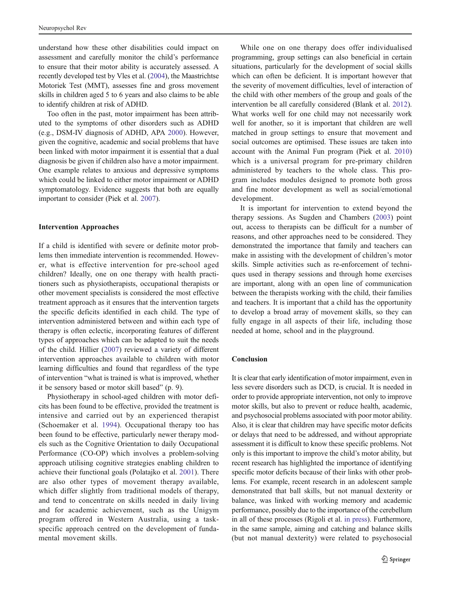understand how these other disabilities could impact on assessment and carefully monitor the child's performance to ensure that their motor ability is accurately assessed. A recently developed test by Vles et al. [\(2004\)](#page-12-0), the Maastrichtse Motoriek Test (MMT), assesses fine and gross movement skills in children aged 5 to 6 years and also claims to be able to identify children at risk of ADHD.

Too often in the past, motor impairment has been attributed to the symptoms of other disorders such as ADHD (e.g., DSM-IV diagnosis of ADHD, APA [2000\)](#page-10-0). However, given the cognitive, academic and social problems that have been linked with motor impairment it is essential that a dual diagnosis be given if children also have a motor impairment. One example relates to anxious and depressive symptoms which could be linked to either motor impairment or ADHD symptomatology. Evidence suggests that both are equally important to consider (Piek et al. [2007\)](#page-11-0).

#### Intervention Approaches

If a child is identified with severe or definite motor problems then immediate intervention is recommended. However, what is effective intervention for pre-school aged children? Ideally, one on one therapy with health practitioners such as physiotherapists, occupational therapists or other movement specialists is considered the most effective treatment approach as it ensures that the intervention targets the specific deficits identified in each child. The type of intervention administered between and within each type of therapy is often eclectic, incorporating features of different types of approaches which can be adapted to suit the needs of the child. Hillier [\(2007](#page-11-0)) reviewed a variety of different intervention approaches available to children with motor learning difficulties and found that regardless of the type of intervention "what is trained is what is improved, whether it be sensory based or motor skill based" (p. 9).

Physiotherapy in school-aged children with motor deficits has been found to be effective, provided the treatment is intensive and carried out by an experienced therapist (Schoemaker et al. [1994\)](#page-12-0). Occupational therapy too has been found to be effective, particularly newer therapy models such as the Cognitive Orientation to daily Occupational Performance (CO-OP) which involves a problem-solving approach utilising cognitive strategies enabling children to achieve their functional goals (Polatajko et al. [2001\)](#page-12-0). There are also other types of movement therapy available, which differ slightly from traditional models of therapy, and tend to concentrate on skills needed in daily living and for academic achievement, such as the Unigym program offered in Western Australia, using a taskspecific approach centred on the development of fundamental movement skills.

While one on one therapy does offer individualised programming, group settings can also beneficial in certain situations, particularly for the development of social skills which can often be deficient. It is important however that the severity of movement difficulties, level of interaction of the child with other members of the group and goals of the intervention be all carefully considered (Blank et al. [2012\)](#page-10-0). What works well for one child may not necessarily work well for another, so it is important that children are well matched in group settings to ensure that movement and social outcomes are optimised. These issues are taken into account with the Animal Fun program (Piek et al. [2010](#page-12-0)) which is a universal program for pre-primary children administered by teachers to the whole class. This program includes modules designed to promote both gross and fine motor development as well as social/emotional development.

It is important for intervention to extend beyond the therapy sessions. As Sugden and Chambers [\(2003](#page-12-0)) point out, access to therapists can be difficult for a number of reasons, and other approaches need to be considered. They demonstrated the importance that family and teachers can make in assisting with the development of children's motor skills. Simple activities such as re-enforcement of techniques used in therapy sessions and through home exercises are important, along with an open line of communication between the therapists working with the child, their families and teachers. It is important that a child has the opportunity to develop a broad array of movement skills, so they can fully engage in all aspects of their life, including those needed at home, school and in the playground.

## Conclusion

It is clear that early identification of motor impairment, even in less severe disorders such as DCD, is crucial. It is needed in order to provide appropriate intervention, not only to improve motor skills, but also to prevent or reduce health, academic, and psychosocial problems associated with poor motor ability. Also, it is clear that children may have specific motor deficits or delays that need to be addressed, and without appropriate assessment it is difficult to know these specific problems. Not only is this important to improve the child's motor ability, but recent research has highlighted the importance of identifying specific motor deficits because of their links with other problems. For example, recent research in an adolescent sample demonstrated that ball skills, but not manual dexterity or balance, was linked with working memory and academic performance, possibly due to the importance of the cerebellum in all of these processes (Rigoli et al. [in press](#page-12-0)). Furthermore, in the same sample, aiming and catching and balance skills (but not manual dexterity) were related to psychosocial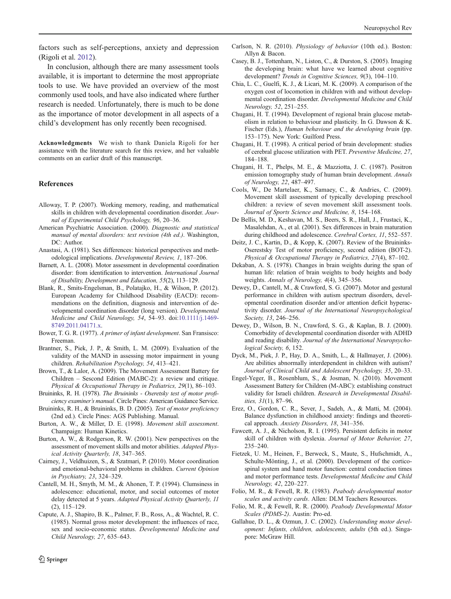<span id="page-10-0"></span>factors such as self-perceptions, anxiety and depression (Rigoli et al. [2012](#page-12-0)).

In conclusion, although there are many assessment tools available, it is important to determine the most appropriate tools to use. We have provided an overview of the most commonly used tools, and have also indicated where further research is needed. Unfortunately, there is much to be done as the importance of motor development in all aspects of a child's development has only recently been recognised.

Acknowledgments We wish to thank Daniela Rigoli for her assistance with the literature search for this review, and her valuable comments on an earlier draft of this manuscript.

#### References

- Alloway, T. P. (2007). Working memory, reading, and mathematical skills in children with developmental coordination disorder. Journal of Experimental Child Psychology, 96, 20–36.
- American Psychiatric Association. (2000). Diagnostic and statistical manual of mental disorders: text revision (4th ed.). Washington, DC: Author.
- Anastasi, A. (1981). Sex differences: historical perspectives and methodological implications. Developmental Review, 1, 187–206.
- Barnett, A. L. (2008). Motor assessment in developmental coordination disorder: from identification to intervention. International Journal of Disability, Development and Education, 55(2), 113–129.
- Blank, R., Smits-Engelsman, B., Polatajko, H., & Wilson, P. (2012). European Academy for Childhood Disability (EACD): recommendations on the definition, diagnosis and intervention of developmental coordination disorder (long version). Developmental Medicine and Child Neurology, 54, 54–93. doi[:10.1111/j.1469-](http://dx.doi.org/10.1111/j.1469-8749.2011.04171.x) [8749.2011.04171.x](http://dx.doi.org/10.1111/j.1469-8749.2011.04171.x).
- Bower, T. G. R. (1977). A primer of infant development. San Fransisco: Freeman.
- Brantner, S., Piek, J. P., & Smith, L. M. (2009). Evaluation of the validity of the MAND in assessing motor impairment in young children. Rehabilitation Psychology, 54, 413–421.
- Brown, T., & Lalor, A. (2009). The Movement Assessment Battery for Children – Sescond Edition (MABC-2): a review and critique. Physical & Occupational Therapy in Pediatrics, 29(1), 86–103.
- Bruininks, R. H. (1978). The Bruininks Oseretsky test of motor proficiency examiner's manual. Circle Pines: American Guidance Service.
- Bruininks, R. H., & Bruininks, B. D. (2005). Test of motor proficiency (2nd ed.). Circle Pines: AGS Publishing. Manual.
- Burton, A. W., & Miller, D. E. (1998). Movement skill assessment. Champaign: Human Kinetics.
- Burton, A. W., & Rodgerson, R. W. (2001). New perspectives on the assessment of movement skills and motor abilities. Adapted Physical Activity Quarterly, 18, 347–365.
- Cairney, J., Veldhuizen, S., & Szatmari, P. (2010). Motor coordination and emotional-behavioral problems in children. Current Opinion in Psychiatry, 23, 324–329.
- Cantell, M. H., Smyth, M. M., & Ahonen, T. P. (1994). Clumsiness in adolescence: educational, motor, and social outcomes of motor delay detected at 5 years. Adapted Physical Activity Quarterly, 11 (2), 115–129.
- Capute, A. J., Shapiro, B. K., Palmer, F. B., Ross, A., & Wachtel, R. C. (1985). Normal gross motor development: the influences of race, sex and socio-economic status. Developmental Medicine and Child Neurology, 27, 635–643.

mental coordination disorder. Developmental Medicine and Child

Allyn & Bacon.

Neurology, 52, 251–255.

Chugani, H. T. (1994). Development of regional brain glucose metabolism in relation to behaviour and plasticity. In G. Dawson & K. Fischer (Eds.), Human behaviour and the developing brain (pp. 153–175). New York: Guilford Press.

Carlson, N. R. (2010). Physiology of behavior (10th ed.). Boston:

Casey, B. J., Tottenham, N., Liston, C., & Durston, S. (2005). Imaging the developing brain: what have we learned about cognitive development? Trends in Cognitive Sciences, 9(3), 104-110. Chia, L. C., Guelfi, K. J., & Licari, M. K. (2009). A comparison of the oxygen cost of locomotion in children with and without develop-

- Chugani, H. T. (1998). A critical period of brain development: studies of cerebral glucose utilization with PET. Preventive Medicine, 27, 184–188.
- Chugani, H. T., Phelps, M. E., & Mazziotta, J. C. (1987). Positron emission tomography study of human brain development. Annals of Neurology, 22, 487–497.
- Cools, W., De Martelaer, K., Samaey, C., & Andries, C. (2009). Movement skill assessment of typically developing preschool children: a review of seven movement skill assessment tools. Journal of Sports Science and Medicine, 8, 154–168.
- De Bellis, M. D., Keshavan, M. S., Beers, S. R., Hall, J., Frustaci, K., Masalehdan, A., et al. (2001). Sex differences in brain maturation during childhood and adolescence. Cerebral Cortex, 11, 552-557.
- Deitz, J. C., Kartin, D., & Kopp, K. (2007). Review of the Bruininks-Oserestsky Test of motor proficiency, second edition (BOT-2). Physical & Occupational Therapy in Pediatrics, 27(4), 87–102.
- Dekaban, A. S. (1978). Changes in brain weights during the span of human life: relation of brain weights to body heights and body weights. Annals of Neurology, 4(4), 345–356.
- Dewey, D., Cantell, M., & Crawford, S. G. (2007). Motor and gestural performance in children with autism spectrum disorders, developmental coordination disorder and/or attention deficit hyperactivity disorder. Journal of the International Neuropsychological Society, 13, 246–256.
- Dewey, D., Wilson, B. N., Crawford, S. G., & Kaplan, B. J. (2000). Comorbidity of developmental coordination disorder with ADHD and reading disability. Journal of the International Neuropsychological Society, 6, 152.
- Dyck, M., Piek, J. P., Hay, D. A., Smith, L., & Hallmayer, J. (2006). Are abilities abnormally interdependent in children with autism? Journal of Clinical Child and Adolescent Psychology, 35, 20–33.
- Engel-Yeger, B., Rosenblum, S., & Josman, N. (2010). Movement Assessment Battery for Children (M-ABC): establishing construct validity for Israeli children. Research in Developmental Disabilities, 31(1), 87–96.
- Erez, O., Gordon, C. R., Sever, J., Sadeh, A., & Matti, M. (2004). Balance dysfunction in childhood anxiety: findings and theoretical approach. Anxiety Disorders, 18, 341–356.
- Fawcett, A. J., & Nicholson, R. I. (1995). Persistent deficits in motor skill of children with dyslexia. Journal of Motor Behavior, 27, 235–240.
- Fietzek, U. M., Heinen, F., Berweck, S., Maute, S., Hufschmidt, A., Schulte-Mönting, J., et al. (2000). Development of the corticospinal system and hand motor function: central conduction times and motor performance tests. Developmental Medicine and Child Neurology, 42, 220–227.
- Folio, M. R., & Fewell, R. R. (1983). Peabody developmental motor scales and activity cards. Allen: DLM Teachers Resources.
- Folio, M. R., & Fewell, R. R. (2000). Peabody Developmental Motor Scales (PDMS-2). Austin: Pro-ed.
- Gallahue, D. L., & Ozmun, J. C. (2002). Understanding motor development: Infants, children, adolescents, adults (5th ed.). Singapore: McGraw Hill.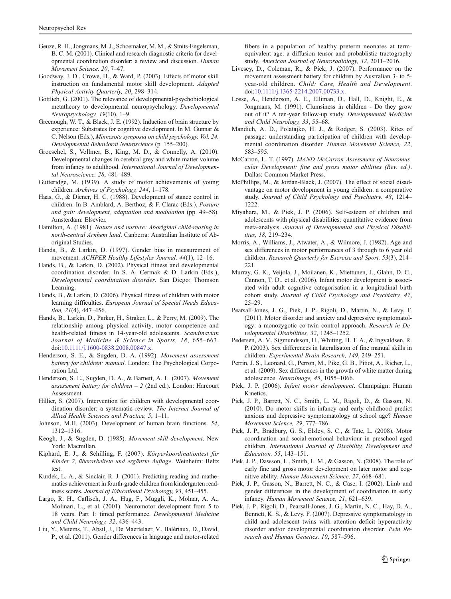- <span id="page-11-0"></span>Geuze, R. H., Jongmans, M. J., Schoemaker, M. M., & Smits-Engelsman, B. C. M. (2001). Clinical and research diagnostic criteria for developmental coordination disorder: a review and discussion. Human Movement Science, 20, 7–47.
- Goodway, J. D., Crowe, H., & Ward, P. (2003). Effects of motor skill instruction on fundamental motor skill development. Adapted Physical Activity Quarterly, 20, 298–314.
- Gottlieb, G. (2001). The relevance of developmental-psychobiological metatheory to developmental neuropsychology. Developmental Neuropsychology, 19(10), 1–9.
- Greenough, W. T., & Black, J. E. (1992). Induction of brain structure by experience: Substrates for cognitive development. In M. Gunnar & C. Nelson (Eds.), Minnesota symposia on child psychology. Vol. 24. Developmental Behavioral Neuroscience (p. 155–200).
- Groeschel, S., Vollmer, B., King, M. D., & Connelly, A. (2010). Developmental changes in cerebral grey and white matter volume from infancy to adulthood. International Journal of Developmental Neuroscience, 28, 481–489.
- Gutteridge, M. (1939). A study of motor achievements of young children. Archives of Psychology, 244, 1–178.
- Haas, G., & Diener, H. C. (1988). Development of stance control in children. In B. Amblard, A. Berthoz, & F. Clarac (Eds.), Posture and gait: development, adaptation and modulation (pp. 49–58). Amsterdam: Elsevier.
- Hamilton, A. (1981). Nature and nurture: Aboriginal child-rearing in north-central Arnhem land. Canberra: Australian Institute of Aboriginal Studies.
- Hands, B., & Larkin, D. (1997). Gender bias in measurement of movement. ACHPER Healthy Lifestyles Journal, 44(1), 12–16.
- Hands, B., & Larkin, D. (2002). Physical fitness and developmental coordination disorder. In S. A. Cermak & D. Larkin (Eds.), Developmental coordination disorder. San Diego: Thomson Learning.
- Hands, B., & Larkin, D. (2006). Physical fitness of children with motor learning difficulties. European Journal of Special Needs Education, 21(4), 447–456.
- Hands, B., Larkin, D., Parker, H., Straker, L., & Perry, M. (2009). The relationship among physical activity, motor competence and health-related fitness in 14-year-old adolescents. Scandinavian Journal of Medicine & Science in Sports, 18, 655–663. doi[:10.1111/j.1600-0838.2008.00847.x.](http://dx.doi.org/10.1111/j.1600-0838.2008.00847.x)
- Henderson, S. E., & Sugden, D. A. (1992). Movement assessment battery for children: manual. London: The Psychological Corporation Ltd.
- Henderson, S. E., Sugden, D. A., & Barnett, A. L. (2007). Movement assessment battery for children  $-$  2 (2nd ed.). London: Harcourt Assessment.
- Hillier, S. (2007). Intervention for children with developmental coordination disorder: a systematic review. The Internet Journal of Allied Health Sciences and Practice, 5, 1–11.
- Johnson, M.H. (2003). Development of human brain functions. 54, 1312–1316.
- Keogh, J., & Sugden, D. (1985). Movement skill development. New York: Macmillan.
- Kiphard, E. J., & Schilling, F. (2007). Körperkoordinationtest für Kinder 2, überarbeitete und ergänzte Auflage. Weinheim: Beltz test.
- Kurdek, L. A., & Sinclair, R. J. (2001). Predicting reading and mathematics achievement in fourth-grade children from kindergarten readiness scores. Journal of Educational Psychology, 93, 451–455.
- Largo, R. H., Caflisch, J. A., Hug, F., Muggli, K., Molnar, A. A., Molinari, L., et al. (2001). Neuromotor development from 5 to 18 years. Part 1: timed performance. Developmental Medicine and Child Neurology, 32, 436–443.
- Liu, Y., Metems, T., Absil, J., De Maertelaer, V., Balériaux, D., David, P., et al. (2011). Gender differences in language and motor-related

fibers in a population of healthy preterm neonates at termequivalent age: a diffusion tensor and probablistic tractography study. American Journal of Neuroradiology, 32, 2011–2016.

- Livesey, D., Coleman, R., & Piek, J. (2007). Performance on the movement assessment battery for children by Australian 3- to 5 year-old children. Child: Care, Health and Development. doi[:10.1111/j.1365-2214.2007.00733.x.](http://dx.doi.org/10.1111/j.1365-2214.2007.00733.x)
- Losse, A., Henderson, A. E., Elliman, D., Hall, D., Knight, E., & Jongmans, M. (1991). Clumsiness in children - Do they grow out of it? A ten-year follow-up study. Developmental Medicine and Child Neurology, 33, 55–68.
- Mandich, A. D., Polatajko, H. J., & Rodger, S. (2003). Rites of passage: understanding participation of children with developmental coordination disorder. Human Movement Science, 22, 583–595.
- McCarron, L. T. (1997). MAND McCarron Assessment of Neuromuscular Development: fine and gross motor abilities (Rev. ed.). Dallas: Common Market Press.
- McPhillips, M., & Jordan-Black, J. (2007). The effect of social disadvantage on motor development in young children: a comparative study. Journal of Child Psychology and Psychiatry, 48, 1214– 1222
- Miyahara, M., & Piek, J. P. (2006). Self-esteem of children and adolescents with physical disabilities: quantitative evidence from meta-analysis. Journal of Developmental and Physical Disabilities, 18, 219–234.
- Morris, A., Williams, J., Atwater, A., & Wilmore, J. (1982). Age and sex differences in motor performances of 3 through to 6 year old children. Research Quarterly for Exercise and Sport, 53(3), 214– 221.
- Murray, G. K., Veijola, J., Moilanen, K., Miettunen, J., Glahn, D. C., Cannon, T. D., et al. (2006). Infant motor development is associated with adult cognitive categorisation in a longitudinal birth cohort study. Journal of Child Psychology and Psychiatry, 47, 25–29.
- Pearsall-Jones, J. G., Piek, J. P., Rigoli, D., Martin, N., & Levy, F. (2011). Motor disorder and anxiety and depressive symptomatology: a monozygotic co-twin control approach. Research in Developmental Disabilities, 32, 1245–1252.
- Pedersen, A. V., Sigmundsson, H., Whiting, H. T. A., & Ingvaldsen, R. P. (2003). Sex differences in lateralisaton of fine manual skills in children. Experimental Brain Research, 149, 249–251.
- Perrin, J. S., Leonard, G., Perron, M., Pike, G. B., Pitiot, A., Richer, L., et al. (2009). Sex differences in the growth of white matter during adolescence. NeuroImage, 45, 1055–1066.
- Piek, J. P. (2006). Infant motor development. Champaign: Human Kinetics.
- Piek, J. P., Barrett, N. C., Smith, L. M., Rigoli, D., & Gasson, N. (2010). Do motor skills in infancy and early childhood predict anxious and depressive symptomatology at school age? Human Movement Science, 29, 777–786.
- Piek, J. P., Bradbury, G. S., Elsley, S. C., & Tate, L. (2008). Motor coordination and social-emotional behaviour in preschool aged children. International Journal of Disability, Development and Education, 55, 143–151.
- Piek, J. P., Dawson, L., Smith, L. M., & Gasson, N. (2008). The role of early fine and gross motor development on later motor and cognitive ability. Human Movement Science, 27, 668–681.
- Piek, J. P., Gasson, N., Barrett, N. C., & Case, I. (2002). Limb and gender differences in the development of coordination in early infancy. Human Movement Science, 21, 621–639.
- Piek, J. P., Rigoli, D., Pearsall-Jones, J. G., Martin, N. C., Hay, D. A., Bennett, K. S., & Levy, F. (2007). Depressive symptomatology in child and adolescent twins with attention deficit hyperactivity disorder and/or developmental coordination disorder. Twin Research and Human Genetics, 10, 587–596.